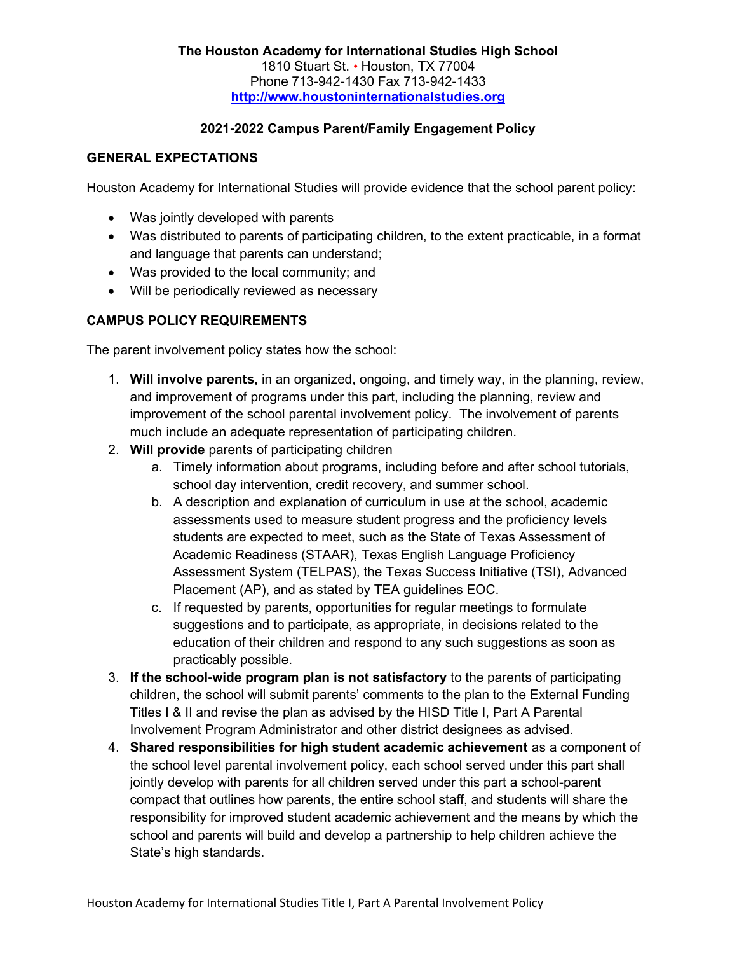# 2021-2022 Campus Parent/Family Engagement Policy

## GENERAL EXPECTATIONS

Houston Academy for International Studies will provide evidence that the school parent policy:

- Was jointly developed with parents
- Was distributed to parents of participating children, to the extent practicable, in a format and language that parents can understand;
- Was provided to the local community; and
- Will be periodically reviewed as necessary

## CAMPUS POLICY REQUIREMENTS

The parent involvement policy states how the school:

- 1. Will involve parents, in an organized, ongoing, and timely way, in the planning, review, and improvement of programs under this part, including the planning, review and improvement of the school parental involvement policy. The involvement of parents much include an adequate representation of participating children.
- 2. Will provide parents of participating children
	- a. Timely information about programs, including before and after school tutorials, school day intervention, credit recovery, and summer school.
	- b. A description and explanation of curriculum in use at the school, academic assessments used to measure student progress and the proficiency levels students are expected to meet, such as the State of Texas Assessment of Academic Readiness (STAAR), Texas English Language Proficiency Assessment System (TELPAS), the Texas Success Initiative (TSI), Advanced Placement (AP), and as stated by TEA guidelines EOC.
	- c. If requested by parents, opportunities for regular meetings to formulate suggestions and to participate, as appropriate, in decisions related to the education of their children and respond to any such suggestions as soon as practicably possible.
- 3. If the school-wide program plan is not satisfactory to the parents of participating children, the school will submit parents' comments to the plan to the External Funding Titles I & II and revise the plan as advised by the HISD Title I, Part A Parental Involvement Program Administrator and other district designees as advised.
- 4. Shared responsibilities for high student academic achievement as a component of the school level parental involvement policy, each school served under this part shall jointly develop with parents for all children served under this part a school-parent compact that outlines how parents, the entire school staff, and students will share the responsibility for improved student academic achievement and the means by which the school and parents will build and develop a partnership to help children achieve the State's high standards.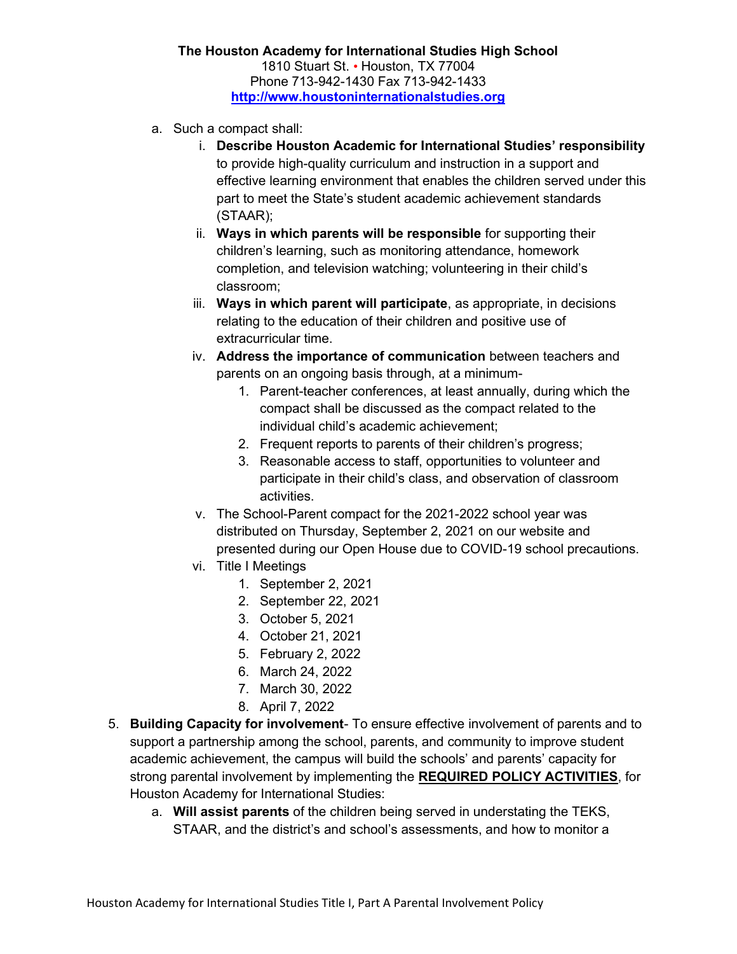#### The Houston Academy for International Studies High School 1810 Stuart St. • Houston, TX 77004 Phone 713-942-1430 Fax 713-942-1433 http://www.houstoninternationalstudies.org

- a. Such a compact shall:
	- i. Describe Houston Academic for International Studies' responsibility to provide high-quality curriculum and instruction in a support and effective learning environment that enables the children served under this part to meet the State's student academic achievement standards (STAAR);
	- ii. Ways in which parents will be responsible for supporting their children's learning, such as monitoring attendance, homework completion, and television watching; volunteering in their child's classroom;
	- iii. Ways in which parent will participate, as appropriate, in decisions relating to the education of their children and positive use of extracurricular time.
	- iv. Address the importance of communication between teachers and parents on an ongoing basis through, at a minimum-
		- 1. Parent-teacher conferences, at least annually, during which the compact shall be discussed as the compact related to the individual child's academic achievement;
		- 2. Frequent reports to parents of their children's progress;
		- 3. Reasonable access to staff, opportunities to volunteer and participate in their child's class, and observation of classroom activities.
	- v. The School-Parent compact for the 2021-2022 school year was distributed on Thursday, September 2, 2021 on our website and presented during our Open House due to COVID-19 school precautions.
	- vi. Title I Meetings
		- 1. September 2, 2021
		- 2. September 22, 2021
		- 3. October 5, 2021
		- 4. October 21, 2021
		- 5. February 2, 2022
		- 6. March 24, 2022
		- 7. March 30, 2022
		- 8. April 7, 2022
- 5. Building Capacity for involvement- To ensure effective involvement of parents and to support a partnership among the school, parents, and community to improve student academic achievement, the campus will build the schools' and parents' capacity for strong parental involvement by implementing the REQUIRED POLICY ACTIVITIES, for Houston Academy for International Studies:
	- a. Will assist parents of the children being served in understating the TEKS, STAAR, and the district's and school's assessments, and how to monitor a